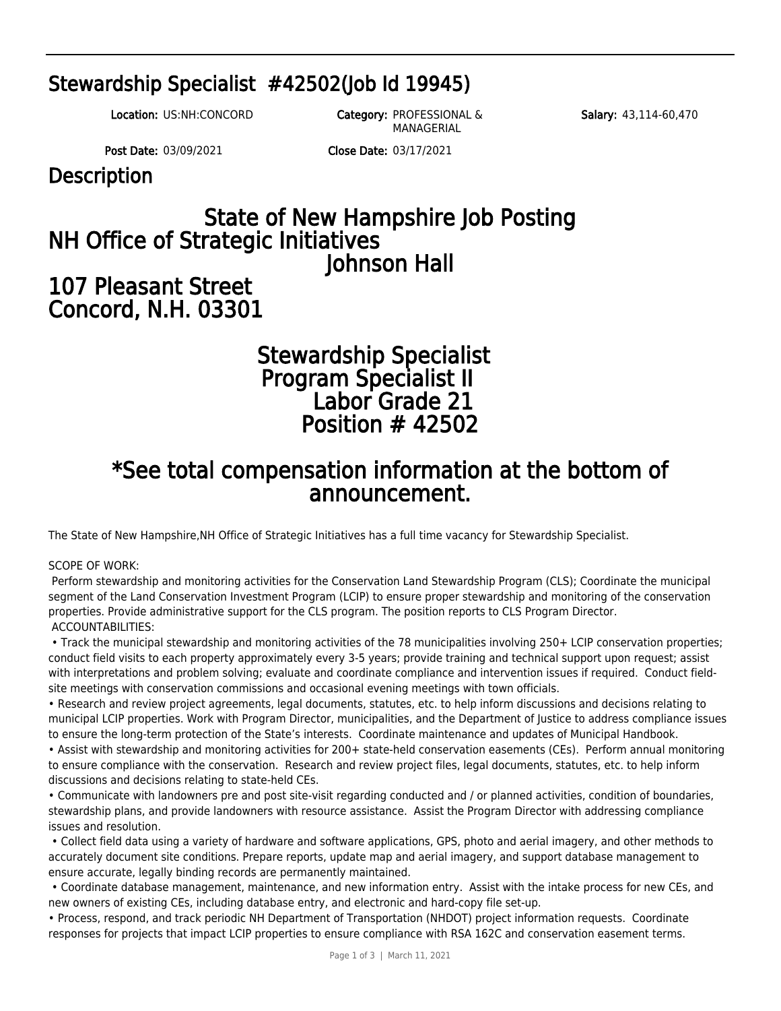## Stewardship Specialist #42502(Job Id 19945)

Salary: 43,114-60,470

Location: US:NH:CONCORD Category: PROFESSIONAL &

MANAGERIAL

Post Date: 03/09/2021 Close Date: 03/17/2021

**Description** 

# State of New Hampshire Job Posting NH Office of Strategic Initiatives Johnson Hall

## 107 Pleasant Street Concord, N.H. 03301

## Stewardship Specialist Program Specialist II Labor Grade 21 Position # 42502

## \*See total compensation information at the bottom of announcement.

The State of New Hampshire,NH Office of Strategic Initiatives has a full time vacancy for Stewardship Specialist.

## SCOPE OF WORK:

 Perform stewardship and monitoring activities for the Conservation Land Stewardship Program (CLS); Coordinate the municipal segment of the Land Conservation Investment Program (LCIP) to ensure proper stewardship and monitoring of the conservation properties. Provide administrative support for the CLS program. The position reports to CLS Program Director. ACCOUNTABILITIES:

 • Track the municipal stewardship and monitoring activities of the 78 municipalities involving 250+ LCIP conservation properties; conduct field visits to each property approximately every 3-5 years; provide training and technical support upon request; assist with interpretations and problem solving; evaluate and coordinate compliance and intervention issues if required. Conduct fieldsite meetings with conservation commissions and occasional evening meetings with town officials.

• Research and review project agreements, legal documents, statutes, etc. to help inform discussions and decisions relating to municipal LCIP properties. Work with Program Director, municipalities, and the Department of Justice to address compliance issues to ensure the long-term protection of the State's interests. Coordinate maintenance and updates of Municipal Handbook.

• Assist with stewardship and monitoring activities for 200+ state-held conservation easements (CEs). Perform annual monitoring to ensure compliance with the conservation. Research and review project files, legal documents, statutes, etc. to help inform discussions and decisions relating to state-held CEs.

• Communicate with landowners pre and post site-visit regarding conducted and / or planned activities, condition of boundaries, stewardship plans, and provide landowners with resource assistance. Assist the Program Director with addressing compliance issues and resolution.

 • Collect field data using a variety of hardware and software applications, GPS, photo and aerial imagery, and other methods to accurately document site conditions. Prepare reports, update map and aerial imagery, and support database management to ensure accurate, legally binding records are permanently maintained.

 • Coordinate database management, maintenance, and new information entry. Assist with the intake process for new CEs, and new owners of existing CEs, including database entry, and electronic and hard-copy file set-up.

• Process, respond, and track periodic NH Department of Transportation (NHDOT) project information requests. Coordinate responses for projects that impact LCIP properties to ensure compliance with RSA 162C and conservation easement terms.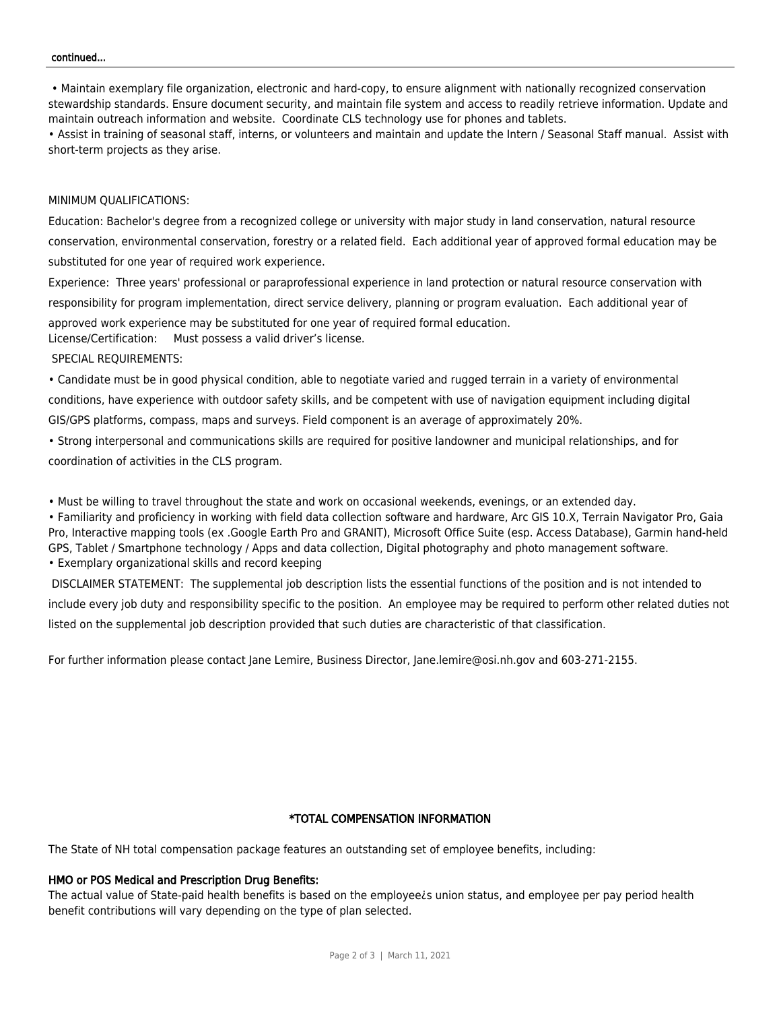#### continued...

 • Maintain exemplary file organization, electronic and hard-copy, to ensure alignment with nationally recognized conservation stewardship standards. Ensure document security, and maintain file system and access to readily retrieve information. Update and maintain outreach information and website. Coordinate CLS technology use for phones and tablets.

• Assist in training of seasonal staff, interns, or volunteers and maintain and update the Intern / Seasonal Staff manual. Assist with short-term projects as they arise.

#### MINIMUM QUALIFICATIONS:

Education: Bachelor's degree from a recognized college or university with major study in land conservation, natural resource conservation, environmental conservation, forestry or a related field. Each additional year of approved formal education may be substituted for one year of required work experience.

Experience: Three years' professional or paraprofessional experience in land protection or natural resource conservation with responsibility for program implementation, direct service delivery, planning or program evaluation. Each additional year of approved work experience may be substituted for one year of required formal education. License/Certification: Must possess a valid driver's license.

SPECIAL REQUIREMENTS:

• Candidate must be in good physical condition, able to negotiate varied and rugged terrain in a variety of environmental conditions, have experience with outdoor safety skills, and be competent with use of navigation equipment including digital GIS/GPS platforms, compass, maps and surveys. Field component is an average of approximately 20%.

• Strong interpersonal and communications skills are required for positive landowner and municipal relationships, and for coordination of activities in the CLS program.

• Must be willing to travel throughout the state and work on occasional weekends, evenings, or an extended day.

• Familiarity and proficiency in working with field data collection software and hardware, Arc GIS 10.X, Terrain Navigator Pro, Gaia Pro, Interactive mapping tools (ex .Google Earth Pro and GRANIT), Microsoft Office Suite (esp. Access Database), Garmin hand-held GPS, Tablet / Smartphone technology / Apps and data collection, Digital photography and photo management software. • Exemplary organizational skills and record keeping

 DISCLAIMER STATEMENT: The supplemental job description lists the essential functions of the position and is not intended to include every job duty and responsibility specific to the position. An employee may be required to perform other related duties not listed on the supplemental job description provided that such duties are characteristic of that classification.

For further information please contact Jane Lemire, Business Director, [Jane.lemire@osi.nh.gov](mailto:Jane.lemire@osi.nh.gov) and 603-271-2155.

## \*TOTAL COMPENSATION INFORMATION

The State of NH total compensation package features an outstanding set of employee benefits, including:

#### HMO or POS Medical and Prescription Drug Benefits:

The actual value of State-paid health benefits is based on the employee¿s union status, and employee per pay period health benefit contributions will vary depending on the type of plan selected.